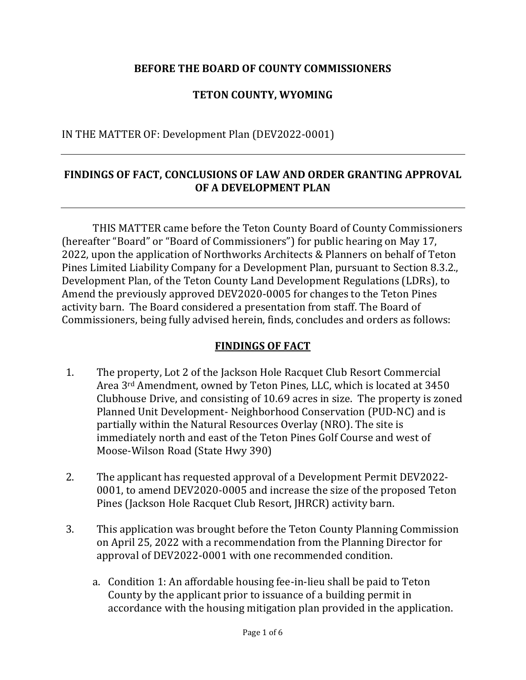### **BEFORE THE BOARD OF COUNTY COMMISSIONERS**

### **TETON COUNTY, WYOMING**

IN THE MATTER OF: Development Plan (DEV2022-0001)

#### **FINDINGS OF FACT, CONCLUSIONS OF LAW AND ORDER GRANTING APPROVAL OF A DEVELOPMENT PLAN**

THIS MATTER came before the Teton County Board of County Commissioners (hereafter "Board" or "Board of Commissioners") for public hearing on May 17, 2022, upon the application of Northworks Architects & Planners on behalf of Teton Pines Limited Liability Company for a Development Plan, pursuant to Section 8.3.2., Development Plan, of the Teton County Land Development Regulations (LDRs), to Amend the previously approved DEV2020-0005 for changes to the Teton Pines activity barn. The Board considered a presentation from staff. The Board of Commissioners, being fully advised herein, finds, concludes and orders as follows:

## **FINDINGS OF FACT**

- 1. The property, Lot 2 of the Jackson Hole Racquet Club Resort Commercial Area 3rd Amendment, owned by Teton Pines, LLC, which is located at 3450 Clubhouse Drive, and consisting of 10.69 acres in size. The property is zoned Planned Unit Development- Neighborhood Conservation (PUD-NC) and is partially within the Natural Resources Overlay (NRO). The site is immediately north and east of the Teton Pines Golf Course and west of Moose-Wilson Road (State Hwy 390)
- 2. The applicant has requested approval of a Development Permit DEV2022- 0001, to amend DEV2020-0005 and increase the size of the proposed Teton Pines (Jackson Hole Racquet Club Resort, JHRCR) activity barn.
- 3. This application was brought before the Teton County Planning Commission on April 25, 2022 with a recommendation from the Planning Director for approval of DEV2022-0001 with one recommended condition.
	- a. Condition 1: An affordable housing fee-in-lieu shall be paid to Teton County by the applicant prior to issuance of a building permit in accordance with the housing mitigation plan provided in the application.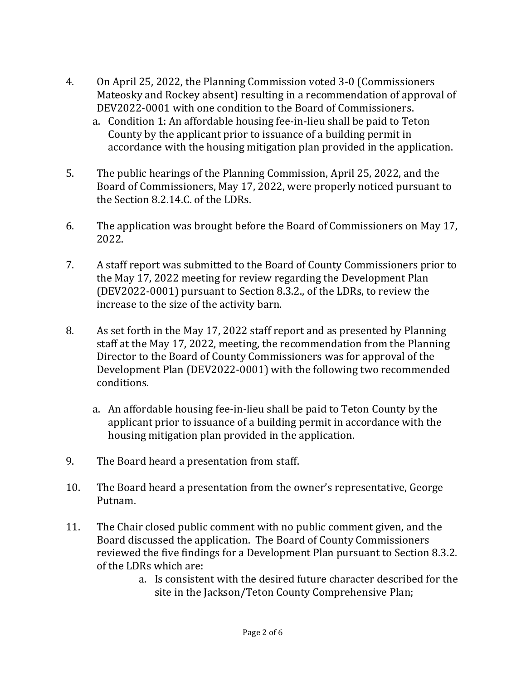- 4. On April 25, 2022, the Planning Commission voted 3-0 (Commissioners Mateosky and Rockey absent) resulting in a recommendation of approval of DEV2022-0001 with one condition to the Board of Commissioners.
	- a. Condition 1: An affordable housing fee-in-lieu shall be paid to Teton County by the applicant prior to issuance of a building permit in accordance with the housing mitigation plan provided in the application.
- 5. The public hearings of the Planning Commission, April 25, 2022, and the Board of Commissioners, May 17, 2022, were properly noticed pursuant to the Section 8.2.14.C. of the LDRs.
- 6. The application was brought before the Board of Commissioners on May 17, 2022.
- 7. A staff report was submitted to the Board of County Commissioners prior to the May 17, 2022 meeting for review regarding the Development Plan (DEV2022-0001) pursuant to Section 8.3.2., of the LDRs, to review the increase to the size of the activity barn.
- 8. As set forth in the May 17, 2022 staff report and as presented by Planning staff at the May 17, 2022, meeting, the recommendation from the Planning Director to the Board of County Commissioners was for approval of the Development Plan (DEV2022-0001) with the following two recommended conditions.
	- a. An affordable housing fee-in-lieu shall be paid to Teton County by the applicant prior to issuance of a building permit in accordance with the housing mitigation plan provided in the application.
- 9. The Board heard a presentation from staff.
- 10. The Board heard a presentation from the owner's representative, George Putnam.
- 11. The Chair closed public comment with no public comment given, and the Board discussed the application. The Board of County Commissioners reviewed the five findings for a Development Plan pursuant to Section 8.3.2. of the LDRs which are:
	- a. Is consistent with the desired future character described for the site in the Jackson/Teton County Comprehensive Plan;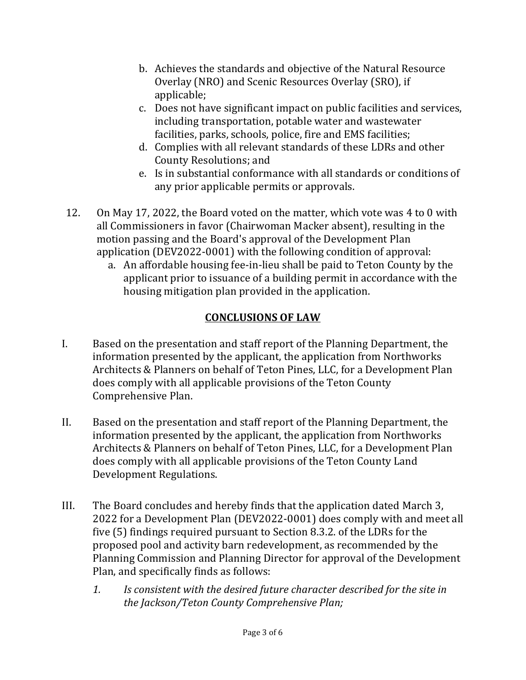- b. Achieves the standards and objective of the Natural Resource Overlay (NRO) and Scenic Resources Overlay (SRO), if applicable;
- c. Does not have significant impact on public facilities and services, including transportation, potable water and wastewater facilities, parks, schools, police, fire and EMS facilities;
- d. Complies with all relevant standards of these LDRs and other County Resolutions; and
- e. Is in substantial conformance with all standards or conditions of any prior applicable permits or approvals.
- 12. On May 17, 2022, the Board voted on the matter, which vote was 4 to 0 with all Commissioners in favor (Chairwoman Macker absent), resulting in the motion passing and the Board's approval of the Development Plan application (DEV2022-0001) with the following condition of approval:
	- a. An affordable housing fee-in-lieu shall be paid to Teton County by the applicant prior to issuance of a building permit in accordance with the housing mitigation plan provided in the application.

## **CONCLUSIONS OF LAW**

- I. Based on the presentation and staff report of the Planning Department, the information presented by the applicant, the application from Northworks Architects & Planners on behalf of Teton Pines, LLC, for a Development Plan does comply with all applicable provisions of the Teton County Comprehensive Plan.
- II. Based on the presentation and staff report of the Planning Department, the information presented by the applicant, the application from Northworks Architects & Planners on behalf of Teton Pines, LLC, for a Development Plan does comply with all applicable provisions of the Teton County Land Development Regulations.
- III. The Board concludes and hereby finds that the application dated March 3, 2022 for a Development Plan (DEV2022-0001) does comply with and meet all five (5) findings required pursuant to Section 8.3.2. of the LDRs for the proposed pool and activity barn redevelopment, as recommended by the Planning Commission and Planning Director for approval of the Development Plan, and specifically finds as follows:
	- *1. Is consistent with the desired future character described for the site in the Jackson/Teton County Comprehensive Plan;*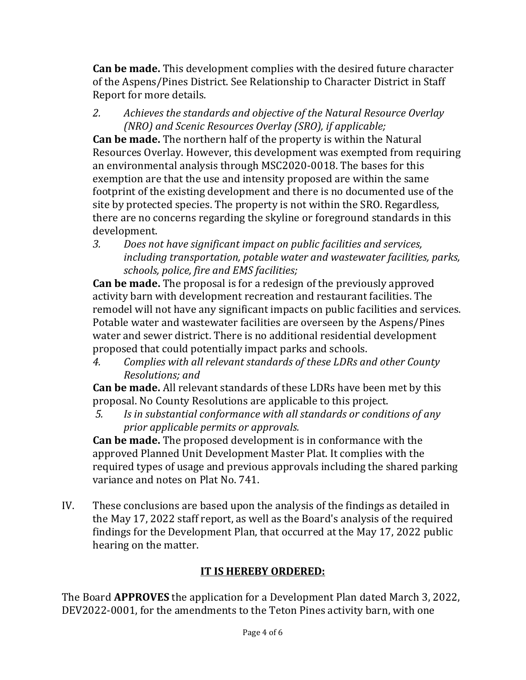**Can be made.** This development complies with the desired future character of the Aspens/Pines District. See Relationship to Character District in Staff Report for more details.

*2. Achieves the standards and objective of the Natural Resource Overlay (NRO) and Scenic Resources Overlay (SRO), if applicable;*

**Can be made.** The northern half of the property is within the Natural Resources Overlay. However, this development was exempted from requiring an environmental analysis through MSC2020-0018. The bases for this exemption are that the use and intensity proposed are within the same footprint of the existing development and there is no documented use of the site by protected species. The property is not within the SRO. Regardless, there are no concerns regarding the skyline or foreground standards in this development.

*3. Does not have significant impact on public facilities and services, including transportation, potable water and wastewater facilities, parks, schools, police, fire and EMS facilities;*

**Can be made.** The proposal is for a redesign of the previously approved activity barn with development recreation and restaurant facilities. The remodel will not have any significant impacts on public facilities and services. Potable water and wastewater facilities are overseen by the Aspens/Pines water and sewer district. There is no additional residential development proposed that could potentially impact parks and schools.

*4. Complies with all relevant standards of these LDRs and other County Resolutions; and*

**Can be made.** All relevant standards of these LDRs have been met by this proposal. No County Resolutions are applicable to this project.

*5. Is in substantial conformance with all standards or conditions of any prior applicable permits or approvals.*

**Can be made.** The proposed development is in conformance with the approved Planned Unit Development Master Plat. It complies with the required types of usage and previous approvals including the shared parking variance and notes on Plat No. 741.

IV. These conclusions are based upon the analysis of the findings as detailed in the May 17, 2022 staff report, as well as the Board's analysis of the required findings for the Development Plan, that occurred at the May 17, 2022 public hearing on the matter.

# **IT IS HEREBY ORDERED:**

The Board **APPROVES** the application for a Development Plan dated March 3, 2022, DEV2022-0001, for the amendments to the Teton Pines activity barn, with one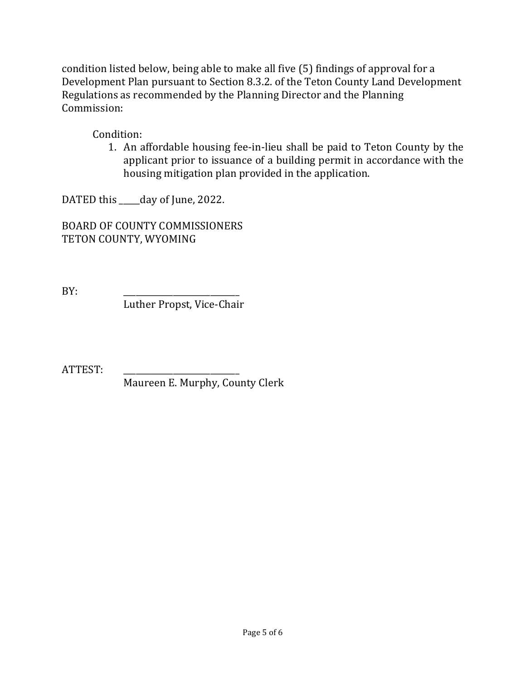condition listed below, being able to make all five (5) findings of approval for a Development Plan pursuant to Section 8.3.2. of the Teton County Land Development Regulations as recommended by the Planning Director and the Planning Commission:

Condition:

1. An affordable housing fee-in-lieu shall be paid to Teton County by the applicant prior to issuance of a building permit in accordance with the housing mitigation plan provided in the application.

DATED this \_\_\_\_\_day of June, 2022.

BOARD OF COUNTY COMMISSIONERS TETON COUNTY, WYOMING

BY: \_\_\_\_\_\_\_\_\_\_\_\_\_\_\_\_\_\_\_\_\_\_\_\_\_\_\_\_

Luther Propst, Vice-Chair

ATTEST: \_\_\_\_\_\_\_\_\_\_\_\_\_\_\_\_\_\_\_\_\_\_\_\_\_\_\_\_

Maureen E. Murphy, County Clerk